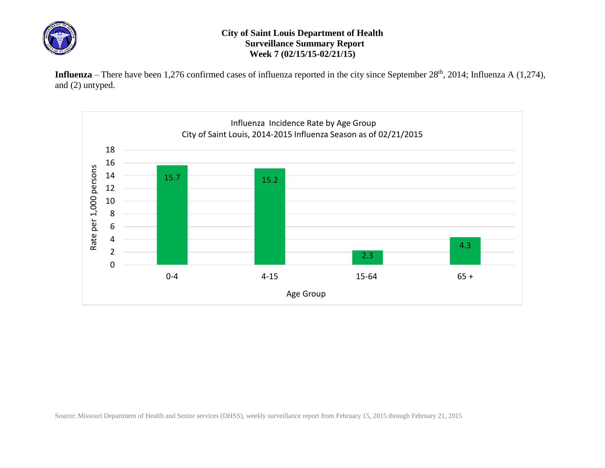

## **City of Saint Louis Department of Health Surveillance Summary Report Week 7 (02/15/15-02/21/15)**

Influenza – There have been 1,276 confirmed cases of influenza reported in the city since September 28<sup>th</sup>, 2014; Influenza A (1,274), and (2) untyped.



Source: Missouri Department of Health and Senior services (DHSS), weekly surveillance report from February 15, 2015 through February 21, 2015